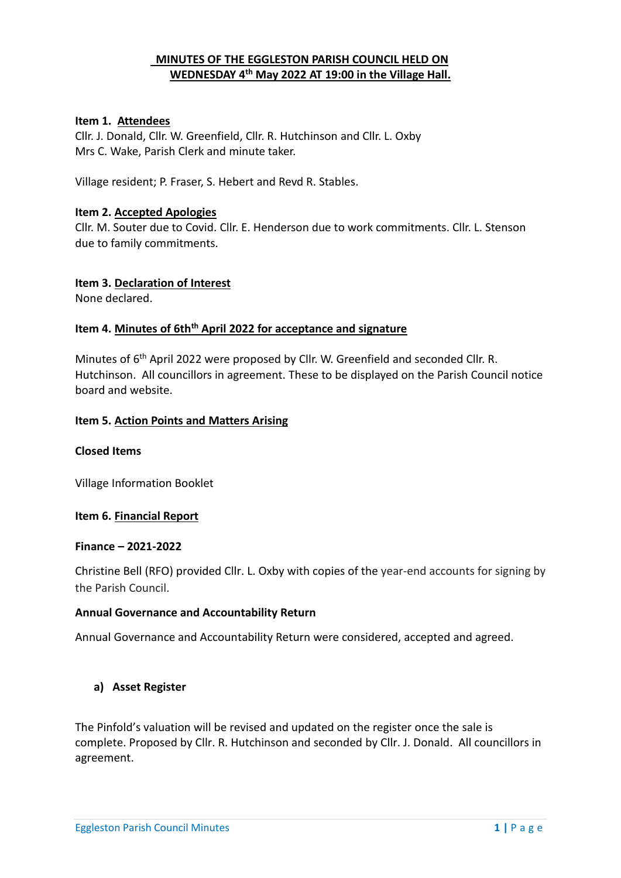# **MINUTES OF THE EGGLESTON PARISH COUNCIL HELD ON WEDNESDAY 4 th May 2022 AT 19:00 in the Village Hall.**

## **Item 1. Attendees**

Cllr. J. Donald, Cllr. W. Greenfield, Cllr. R. Hutchinson and Cllr. L. Oxby Mrs C. Wake, Parish Clerk and minute taker.

Village resident; P. Fraser, S. Hebert and Revd R. Stables.

#### **Item 2. Accepted Apologies**

Cllr. M. Souter due to Covid. Cllr. E. Henderson due to work commitments. Cllr. L. Stenson due to family commitments.

#### **Item 3. Declaration of Interest**

None declared.

#### **Item 4. Minutes of 6thth April 2022 for acceptance and signature**

Minutes of 6<sup>th</sup> April 2022 were proposed by Cllr. W. Greenfield and seconded Cllr. R. Hutchinson. All councillors in agreement. These to be displayed on the Parish Council notice board and website.

#### **Item 5. Action Points and Matters Arising**

#### **Closed Items**

Village Information Booklet

## **Item 6. Financial Report**

#### **Finance – 2021-2022**

Christine Bell (RFO) provided Cllr. L. Oxby with copies of the year-end accounts for signing by the Parish Council.

#### **Annual Governance and Accountability Return**

Annual Governance and Accountability Return were considered, accepted and agreed.

## **a) Asset Register**

The Pinfold's valuation will be revised and updated on the register once the sale is complete. Proposed by Cllr. R. Hutchinson and seconded by Cllr. J. Donald. All councillors in agreement.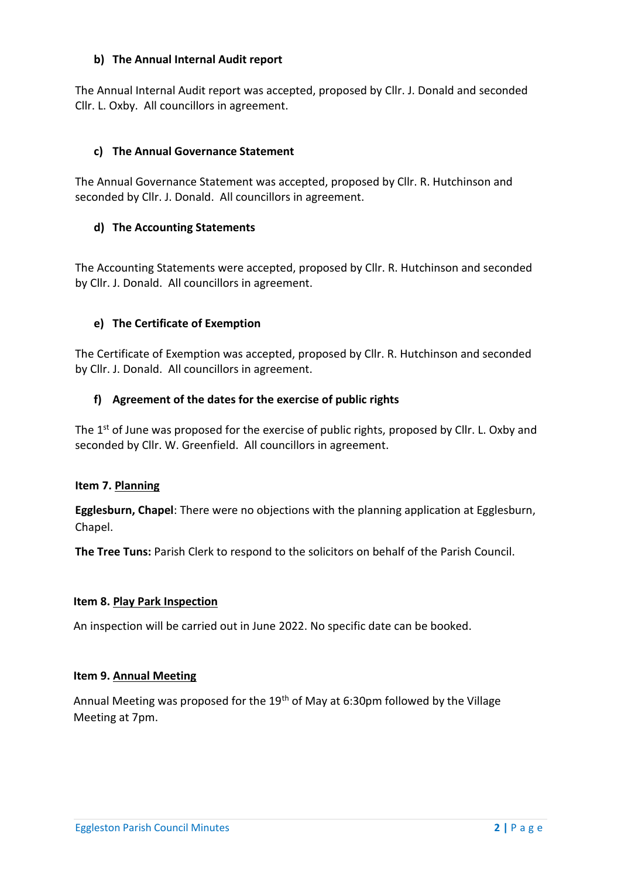# **b) The Annual Internal Audit report**

The Annual Internal Audit report was accepted, proposed by Cllr. J. Donald and seconded Cllr. L. Oxby. All councillors in agreement.

# **c) The Annual Governance Statement**

The Annual Governance Statement was accepted, proposed by Cllr. R. Hutchinson and seconded by Cllr. J. Donald. All councillors in agreement.

# **d) The Accounting Statements**

The Accounting Statements were accepted, proposed by Cllr. R. Hutchinson and seconded by Cllr. J. Donald. All councillors in agreement.

# **e) The Certificate of Exemption**

The Certificate of Exemption was accepted, proposed by Cllr. R. Hutchinson and seconded by Cllr. J. Donald. All councillors in agreement.

# **f) Agreement of the dates for the exercise of public rights**

The 1<sup>st</sup> of June was proposed for the exercise of public rights, proposed by Cllr. L. Oxby and seconded by Cllr. W. Greenfield. All councillors in agreement.

## **Item 7. Planning**

**Egglesburn, Chapel**: There were no objections with the planning application at Egglesburn, Chapel.

**The Tree Tuns:** Parish Clerk to respond to the solicitors on behalf of the Parish Council.

## **Item 8. Play Park Inspection**

An inspection will be carried out in June 2022. No specific date can be booked.

## **Item 9. Annual Meeting**

Annual Meeting was proposed for the 19<sup>th</sup> of May at 6:30pm followed by the Village Meeting at 7pm.